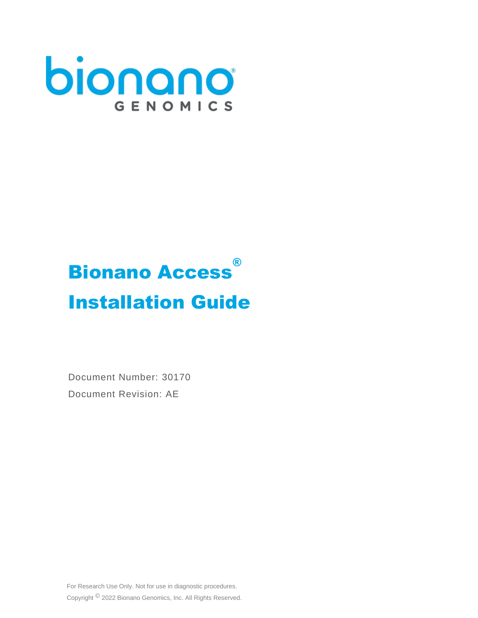

# **Bionano Access**® Installation Guide

Document Number: 30170 Document Revision: AE

For Research Use Only. Not for use in diagnostic procedures. Copyright © 2022 Bionano Genomics, Inc. All Rights Reserved.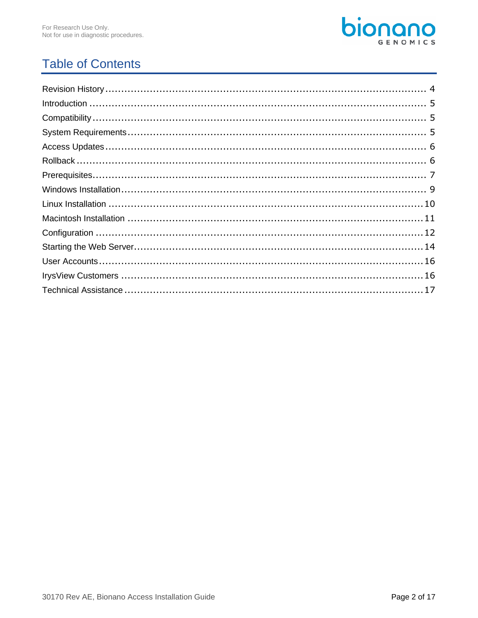

# **Table of Contents**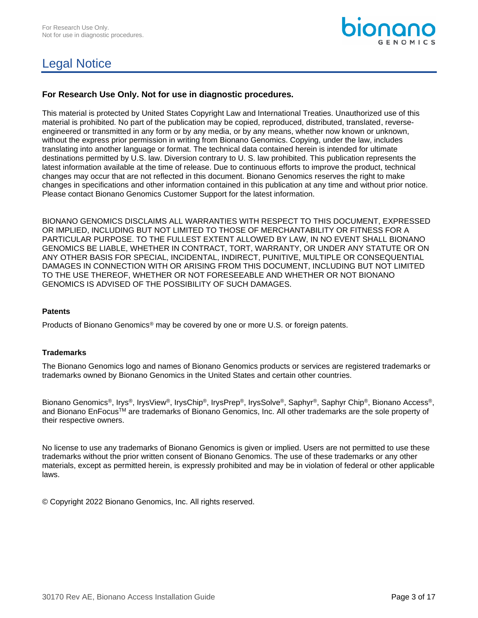# Legal Notice



## **For Research Use Only. Not for use in diagnostic procedures.**

This material is protected by United States Copyright Law and International Treaties. Unauthorized use of this material is prohibited. No part of the publication may be copied, reproduced, distributed, translated, reverseengineered or transmitted in any form or by any media, or by any means, whether now known or unknown, without the express prior permission in writing from Bionano Genomics. Copying, under the law, includes translating into another language or format. The technical data contained herein is intended for ultimate destinations permitted by U.S. law. Diversion contrary to U. S. law prohibited. This publication represents the latest information available at the time of release. Due to continuous efforts to improve the product, technical changes may occur that are not reflected in this document. Bionano Genomics reserves the right to make changes in specifications and other information contained in this publication at any time and without prior notice. Please contact Bionano Genomics Customer Support for the latest information.

BIONANO GENOMICS DISCLAIMS ALL WARRANTIES WITH RESPECT TO THIS DOCUMENT, EXPRESSED OR IMPLIED, INCLUDING BUT NOT LIMITED TO THOSE OF MERCHANTABILITY OR FITNESS FOR A PARTICULAR PURPOSE. TO THE FULLEST EXTENT ALLOWED BY LAW, IN NO EVENT SHALL BIONANO GENOMICS BE LIABLE, WHETHER IN CONTRACT, TORT, WARRANTY, OR UNDER ANY STATUTE OR ON ANY OTHER BASIS FOR SPECIAL, INCIDENTAL, INDIRECT, PUNITIVE, MULTIPLE OR CONSEQUENTIAL DAMAGES IN CONNECTION WITH OR ARISING FROM THIS DOCUMENT, INCLUDING BUT NOT LIMITED TO THE USE THEREOF, WHETHER OR NOT FORESEEABLE AND WHETHER OR NOT BIONANO GENOMICS IS ADVISED OF THE POSSIBILITY OF SUCH DAMAGES.

### **Patents**

Products of Bionano Genomics® may be covered by one or more U.S. or foreign patents.

#### **Trademarks**

The Bionano Genomics logo and names of Bionano Genomics products or services are registered trademarks or trademarks owned by Bionano Genomics in the United States and certain other countries.

Bionano Genomics®, Irys®, IrysView®, IrysChip®, IrysPrep®, IrysSolve®, Saphyr®, Saphyr Chip®, Bionano Access®, and Bionano EnFocus™ are trademarks of Bionano Genomics, Inc. All other trademarks are the sole property of their respective owners.

No license to use any trademarks of Bionano Genomics is given or implied. Users are not permitted to use these trademarks without the prior written consent of Bionano Genomics. The use of these trademarks or any other materials, except as permitted herein, is expressly prohibited and may be in violation of federal or other applicable laws.

© Copyright 2022 Bionano Genomics, Inc. All rights reserved.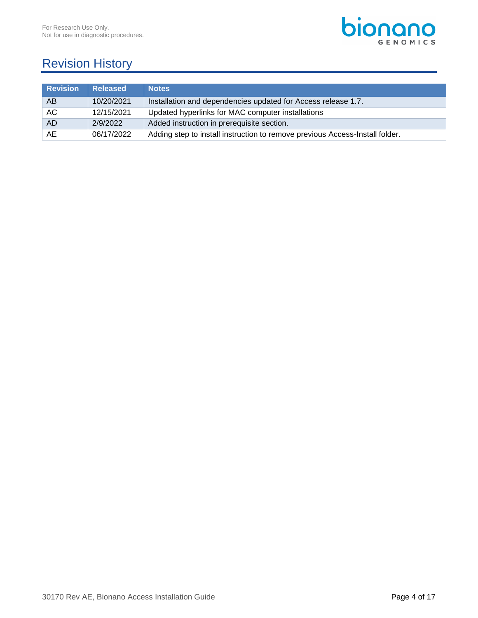

# <span id="page-3-0"></span>Revision History

| <b>Revision</b> | <b>Released</b> | <b>Notes</b>                                                                 |
|-----------------|-----------------|------------------------------------------------------------------------------|
| AB              | 10/20/2021      | Installation and dependencies updated for Access release 1.7.                |
| AC.             | 12/15/2021      | Updated hyperlinks for MAC computer installations                            |
| AD.             | 2/9/2022        | Added instruction in prerequisite section.                                   |
| AE              | 06/17/2022      | Adding step to install instruction to remove previous Access-Install folder. |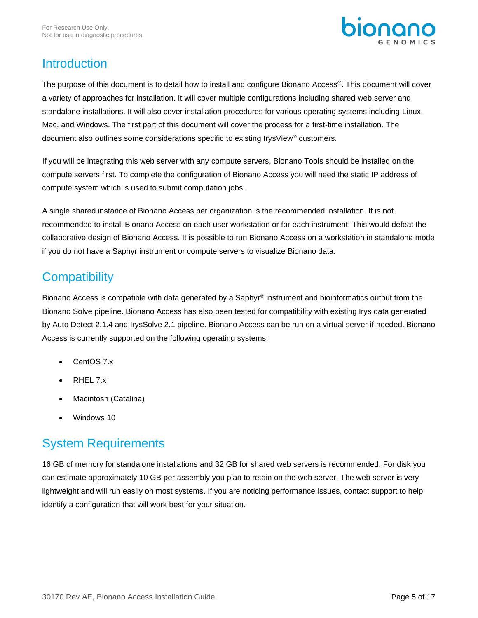

## <span id="page-4-0"></span>Introduction

The purpose of this document is to detail how to install and configure Bionano Access®. This document will cover a variety of approaches for installation. It will cover multiple configurations including shared web server and standalone installations. It will also cover installation procedures for various operating systems including Linux, Mac, and Windows. The first part of this document will cover the process for a first-time installation. The document also outlines some considerations specific to existing IrysView® customers.

If you will be integrating this web server with any compute servers, Bionano Tools should be installed on the compute servers first. To complete the configuration of Bionano Access you will need the static IP address of compute system which is used to submit computation jobs.

A single shared instance of Bionano Access per organization is the recommended installation. It is not recommended to install Bionano Access on each user workstation or for each instrument. This would defeat the collaborative design of Bionano Access. It is possible to run Bionano Access on a workstation in standalone mode if you do not have a Saphyr instrument or compute servers to visualize Bionano data.

# <span id="page-4-1"></span>**Compatibility**

Bionano Access is compatible with data generated by a Saphyr<sup>®</sup> instrument and bioinformatics output from the Bionano Solve pipeline. Bionano Access has also been tested for compatibility with existing Irys data generated by Auto Detect 2.1.4 and IrysSolve 2.1 pipeline. Bionano Access can be run on a virtual server if needed. Bionano Access is currently supported on the following operating systems:

- CentOS 7.x
- $\bullet$  RHFL 7 $x$
- Macintosh (Catalina)
- Windows 10

# <span id="page-4-2"></span>System Requirements

16 GB of memory for standalone installations and 32 GB for shared web servers is recommended. For disk you can estimate approximately 10 GB per assembly you plan to retain on the web server. The web server is very lightweight and will run easily on most systems. If you are noticing performance issues, contact support to help identify a configuration that will work best for your situation.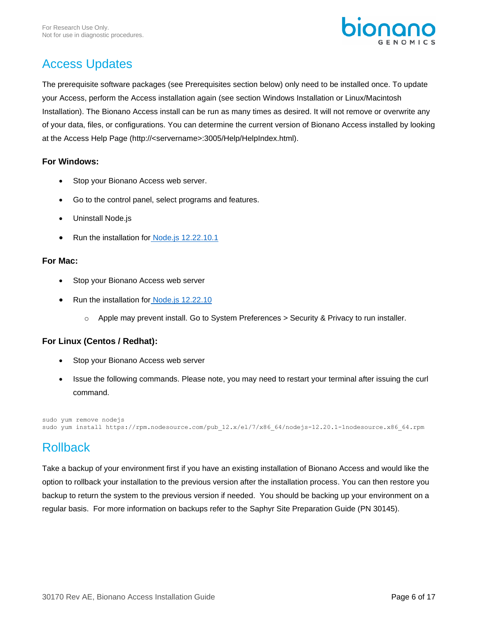

# <span id="page-5-0"></span>Access Updates

The prerequisite software packages (see Prerequisites section below) only need to be installed once. To update your Access, perform the Access installation again (see section Windows Installation or Linux/Macintosh Installation). The Bionano Access install can be run as many times as desired. It will not remove or overwrite any of your data, files, or configurations. You can determine the current version of Bionano Access installed by looking at the Access Help Page (http://<servername>:3005/Help/HelpIndex.html).

## **For Windows:**

- Stop your Bionano Access web server.
- Go to the control panel, select programs and features.
- Uninstall Node.js
- Run the installation for [Node.js 12.22.10.1](https://nodejs.org/download/release/v12.22.10/node-v12.22.10-x64.msi)

## **For Mac:**

- Stop your Bionano Access web server
- Run the installation for [Node.js 12.22.10](https://nodejs.org/download/release/v12.22.10/node-v12.22.10.pkg)
	- $\circ$  Apple may prevent install. Go to System Preferences > Security & Privacy to run installer.

## **For Linux (Centos / Redhat):**

- Stop your Bionano Access web server
- Issue the following commands. Please note, you may need to restart your terminal after issuing the curl command.

```
sudo yum remove nodejs
sudo yum install https://rpm.nodesource.com/pub_12.x/el/7/x86_64/nodejs-12.20.1-1nodesource.x86_64.rpm
```
## <span id="page-5-1"></span>Rollback

Take a backup of your environment first if you have an existing installation of Bionano Access and would like the option to rollback your installation to the previous version after the installation process. You can then restore you backup to return the system to the previous version if needed. You should be backing up your environment on a regular basis. For more information on backups refer to the Saphyr Site Preparation Guide (PN 30145).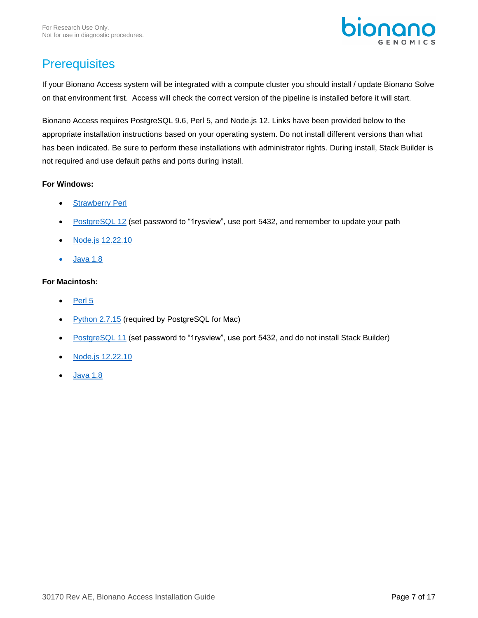

# <span id="page-6-0"></span>**Prerequisites**

If your Bionano Access system will be integrated with a compute cluster you should install / update Bionano Solve on that environment first. Access will check the correct version of the pipeline is installed before it will start.

Bionano Access requires PostgreSQL 9.6, Perl 5, and Node.js 12. Links have been provided below to the appropriate installation instructions based on your operating system. Do not install different versions than what has been indicated. Be sure to perform these installations with administrator rights. During install, Stack Builder is not required and use default paths and ports during install.

## **For Windows:**

- [Strawberry Perl](https://strawberryperl.com/)
- [PostgreSQL 12](https://www.enterprisedb.com/downloads/postgres-postgresql-downloads) (set password to "1rysview", use port 5432, and remember to update your path
- [Node.js](https://nodejs.org/download/release/v12.22.10/node-v12.22.10-x64.msi) 12.22.10
- [Java 1.8](https://java.com/en/download/)

## **For Macintosh:**

- [Perl](https://www.perl.org/get.html) 5
- [Python 2.7.15](https://www.python.org/downloads/release/python-2715/) (required by PostgreSQL for Mac)
- [PostgreSQL 11](https://sbp.enterprisedb.com/getfile.jsp?fileid=12569&_ga=2.216068630.1813352955.1591738038-1474724881.1591738038) (set password to "1rysview", use port 5432, and do not install Stack Builder)
- [Node.js 12.](https://nodejs.org/download/release/v12.22.10/node-v12.22.10.pkg)22.10
- [Java 1.8](https://java.com/en/download/)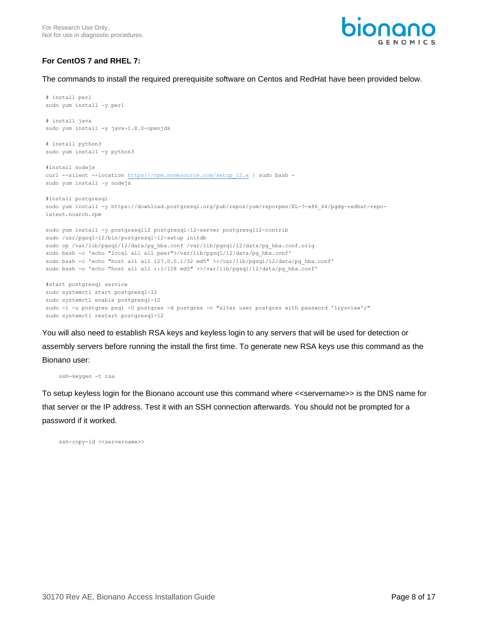

## **For CentOS 7 and RHEL 7:**

The commands to install the required prerequisite software on Centos and RedHat have been provided below.

```
# install perl
sudo yum install –y perl
# install java
sudo yum install -y java-1.8.0-openjdk
# install python3
sudo yum install -y python3
#install nodejs
curl --silent --location https://rpm.nodesource.com/setup 12.x | sudo bash -
sudo yum install –y nodejs
#install postgresql
sudo yum install -y https://download.postgresql.org/pub/repos/yum/reporpms/EL-7-x86_64/pgdg-redhat-repo-
latest.noarch.rpm
sudo yum install -y postgresql12 postgresql-12-server postgresql12-contrib
sudo /usr/pgsql-12/bin/postgresql-12-setup initdb
sudo cp /var/lib/pgsql/12/data/pg_hba.conf /var/lib/pgsql/12/data/pg_hba.conf.orig
sudo bash -c 'echo "local all all peer">/var/lib/pgsql/12/data/pg_hba.conf'
sudo bash -c 'echo "host all all 127.0.0.1/32 md5" >>/var/lib/pgsql/12/data/pg_hba.conf'
sudo bash -c 'echo "host all all ::1/128 md5" >>/var/lib/pgsql/12/data/pg hba.conf'
#start postgresql service
sudo systemctl start postgresql-12
sudo systemctl enable postgresql-12
sudo -i -u postgres psql -U postgres -d postgres -c "alter user postgres with password '1rysview';"
```
You will also need to establish RSA keys and keyless login to any servers that will be used for detection or assembly servers before running the install the first time. To generate new RSA keys use this command as the Bionano user:

ssh-keygen -t rsa

To setup keyless login for the Bionano account use this command where <<servername>> is the DNS name for that server or the IP address. Test it with an SSH connection afterwards. You should not be prompted for a password if it worked.

ssh-copy-id <<servername>>

sudo systemctl restart postgresql-12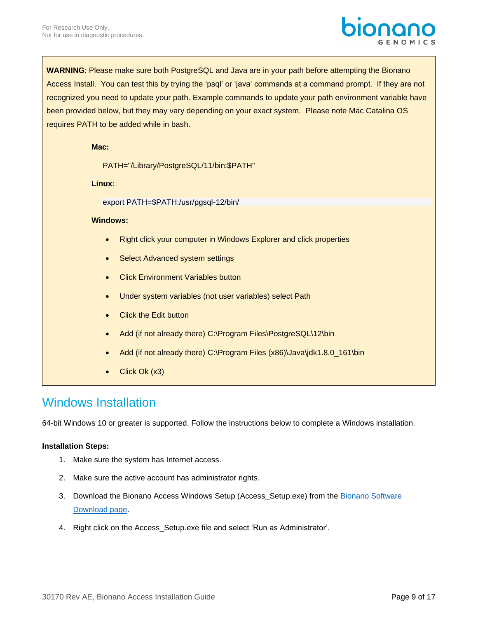

**WARNING**: Please make sure both PostgreSQL and Java are in your path before attempting the Bionano Access Install. You can test this by trying the 'psql' or 'java' commands at a command prompt. If they are not recognized you need to update your path. Example commands to update your path environment variable have been provided below, but they may vary depending on your exact system. Please note Mac Catalina OS requires PATH to be added while in bash.

#### **Mac:**

PATH="/Library/PostgreSQL/11/bin:\$PATH"

**Linux:**

export PATH=\$PATH:/usr/pgsql-12/bin/

#### **Windows:**

- Right click your computer in Windows Explorer and click properties
- Select Advanced system settings
- **Click Environment Variables button**
- Under system variables (not user variables) select Path
- **Click the Edit button**
- Add (if not already there) C:\Program Files\PostgreSQL\12\bin
- Add (if not already there) C:\Program Files (x86)\Java\jdk1.8.0\_161\bin
- Click Ok (x3)

## <span id="page-8-0"></span>Windows Installation

64-bit Windows 10 or greater is supported. Follow the instructions below to complete a Windows installation.

#### **Installation Steps:**

- 1. Make sure the system has Internet access.
- 2. Make sure the active account has administrator rights.
- 3. Download the Bionano Access Windows Setup (Access\_Setup.exe) from the Bionano Software [Download page.](http://bionanogenomics.com/support/)
- 4. Right click on the Access\_Setup.exe file and select 'Run as Administrator'.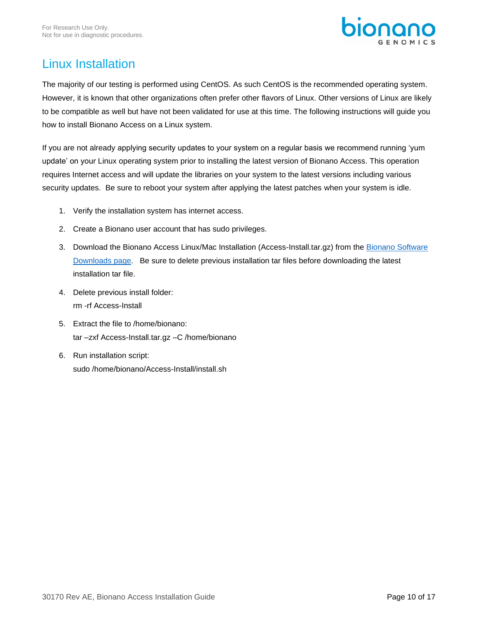

# <span id="page-9-0"></span>Linux Installation

The majority of our testing is performed using CentOS. As such CentOS is the recommended operating system. However, it is known that other organizations often prefer other flavors of Linux. Other versions of Linux are likely to be compatible as well but have not been validated for use at this time. The following instructions will guide you how to install Bionano Access on a Linux system.

If you are not already applying security updates to your system on a regular basis we recommend running 'yum update' on your Linux operating system prior to installing the latest version of Bionano Access. This operation requires Internet access and will update the libraries on your system to the latest versions including various security updates. Be sure to reboot your system after applying the latest patches when your system is idle.

- 1. Verify the installation system has internet access.
- 2. Create a Bionano user account that has sudo privileges.
- 3. Download the Bionano Access Linux/Mac Installation (Access-Install.tar.gz) from the Bionano Software [Downloads](http://bionanogenomics.com/support/) page. Be sure to delete previous installation tar files before downloading the latest installation tar file.
- 4. Delete previous install folder: rm -rf Access-Install
- 5. Extract the file to /home/bionano: tar –zxf Access-Install.tar.gz –C /home/bionano
- 6. Run installation script: sudo /home/bionano/Access-Install/install.sh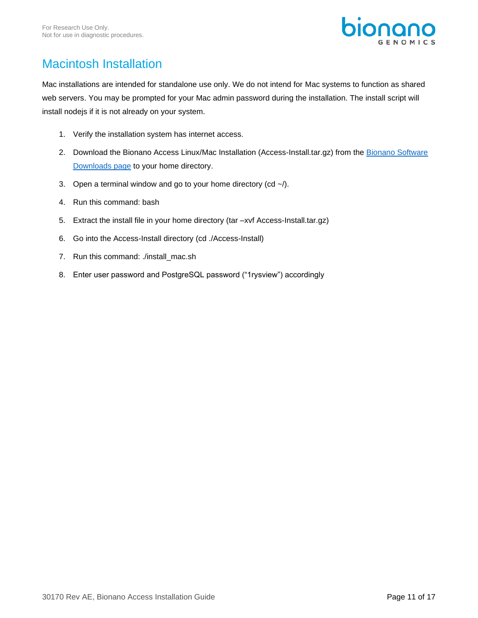

# <span id="page-10-0"></span>Macintosh Installation

Mac installations are intended for standalone use only. We do not intend for Mac systems to function as shared web servers. You may be prompted for your Mac admin password during the installation. The install script will install nodejs if it is not already on your system.

- 1. Verify the installation system has internet access.
- 2. Download the Bionano Access Linux/Mac Installation (Access-Install.tar.gz) from the Bionano Software [Downloads page](http://bionanogenomics.com/support/) to your home directory.
- 3. Open a terminal window and go to your home directory (cd  $\sim$  /).
- 4. Run this command: bash
- 5. Extract the install file in your home directory (tar –xvf Access-Install.tar.gz)
- 6. Go into the Access-Install directory (cd ./Access-Install)
- 7. Run this command: ./install\_mac.sh
- 8. Enter user password and PostgreSQL password ("1rysview") accordingly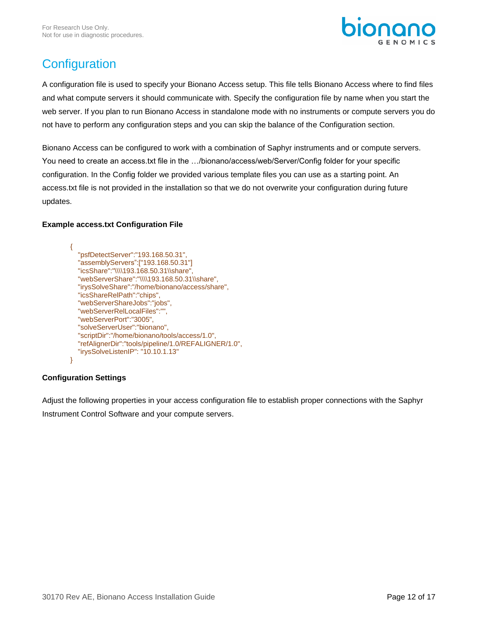

# <span id="page-11-0"></span>**Configuration**

A configuration file is used to specify your Bionano Access setup. This file tells Bionano Access where to find files and what compute servers it should communicate with. Specify the configuration file by name when you start the web server. If you plan to run Bionano Access in standalone mode with no instruments or compute servers you do not have to perform any configuration steps and you can skip the balance of the Configuration section.

Bionano Access can be configured to work with a combination of Saphyr instruments and or compute servers. You need to create an access.txt file in the …/bionano/access/web/Server/Config folder for your specific configuration. In the Config folder we provided various template files you can use as a starting point. An access.txt file is not provided in the installation so that we do not overwrite your configuration during future updates.

## **Example access.txt Configuration File**

{ "psfDetectServer":"193.168.50.31", "assemblyServers":["193.168.50.31"] "icsShare":"\\\\193.168.50.31\\share", "webServerShare":"\\\\193.168.50.31\\share", "irysSolveShare":"/home/bionano/access/share", "icsShareRelPath":"chips", "webServerShareJobs":"jobs", "webServerRelLocalFiles":"", "webServerPort":"3005", "solveServerUser":"bionano", "scriptDir":"/home/bionano/tools/access/1.0", "refAlignerDir":"tools/pipeline/1.0/REFALIGNER/1.0", "irysSolveListenIP": "10.10.1.13" }

## **Configuration Settings**

Adjust the following properties in your access configuration file to establish proper connections with the Saphyr Instrument Control Software and your compute servers.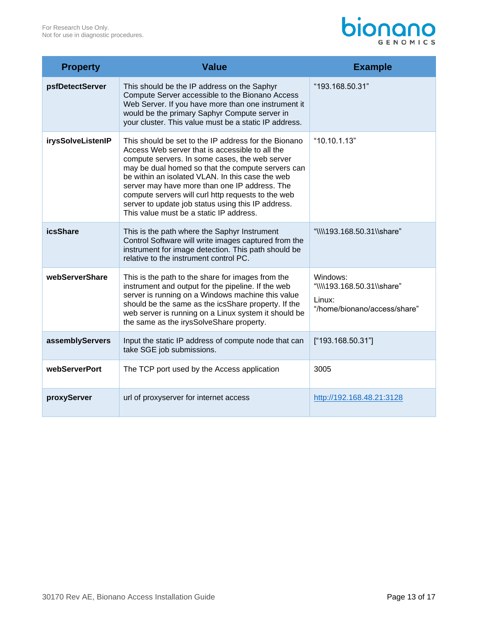# **bionano**

| <b>Property</b>   | <b>Value</b>                                                                                                                                                                                                                                                                                                                                                                                                                                                               | <b>Example</b>                                                                   |
|-------------------|----------------------------------------------------------------------------------------------------------------------------------------------------------------------------------------------------------------------------------------------------------------------------------------------------------------------------------------------------------------------------------------------------------------------------------------------------------------------------|----------------------------------------------------------------------------------|
| psfDetectServer   | This should be the IP address on the Saphyr<br>Compute Server accessible to the Bionano Access<br>Web Server. If you have more than one instrument it<br>would be the primary Saphyr Compute server in<br>your cluster. This value must be a static IP address.                                                                                                                                                                                                            | "193.168.50.31"                                                                  |
| irysSolveListenIP | This should be set to the IP address for the Bionano<br>Access Web server that is accessible to all the<br>compute servers. In some cases, the web server<br>may be dual homed so that the compute servers can<br>be within an isolated VLAN. In this case the web<br>server may have more than one IP address. The<br>compute servers will curl http requests to the web<br>server to update job status using this IP address.<br>This value must be a static IP address. | "10.10.1.13"                                                                     |
| <b>icsShare</b>   | This is the path where the Saphyr Instrument<br>Control Software will write images captured from the<br>instrument for image detection. This path should be<br>relative to the instrument control PC.                                                                                                                                                                                                                                                                      | "\\\\193.168.50.31\\share"                                                       |
| webServerShare    | This is the path to the share for images from the<br>instrument and output for the pipeline. If the web<br>server is running on a Windows machine this value<br>should be the same as the icsShare property. If the<br>web server is running on a Linux system it should be<br>the same as the irysSolveShare property.                                                                                                                                                    | Windows:<br>"\\\\193.168.50.31\\share"<br>Linux:<br>"/home/bionano/access/share" |
| assemblyServers   | Input the static IP address of compute node that can<br>take SGE job submissions.                                                                                                                                                                                                                                                                                                                                                                                          | ["193.168.50.31"]                                                                |
| webServerPort     | The TCP port used by the Access application                                                                                                                                                                                                                                                                                                                                                                                                                                | 3005                                                                             |
| proxyServer       | url of proxyserver for internet access                                                                                                                                                                                                                                                                                                                                                                                                                                     | http://192.168.48.21:3128                                                        |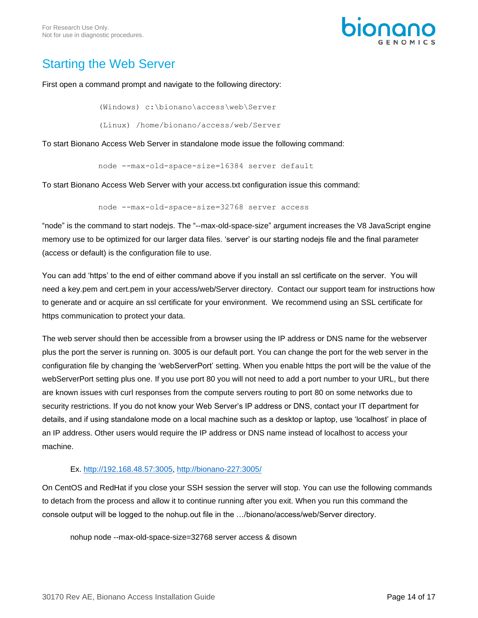

# <span id="page-13-0"></span>Starting the Web Server

## First open a command prompt and navigate to the following directory:

(Windows) c:\bionano\access\web\Server

(Linux) /home/bionano/access/web/Server

To start Bionano Access Web Server in standalone mode issue the following command:

node --max-old-space-size=16384 server default

To start Bionano Access Web Server with your access.txt configuration issue this command:

node --max-old-space-size=32768 server access

"node" is the command to start nodejs. The "--max-old-space-size" argument increases the V8 JavaScript engine memory use to be optimized for our larger data files. 'server' is our starting nodejs file and the final parameter (access or default) is the configuration file to use.

You can add 'https' to the end of either command above if you install an ssl certificate on the server. You will need a key.pem and cert.pem in your access/web/Server directory. Contact our support team for instructions how to generate and or acquire an ssl certificate for your environment. We recommend using an SSL certificate for https communication to protect your data.

The web server should then be accessible from a browser using the IP address or DNS name for the webserver plus the port the server is running on. 3005 is our default port. You can change the port for the web server in the configuration file by changing the 'webServerPort' setting. When you enable https the port will be the value of the webServerPort setting plus one. If you use port 80 you will not need to add a port number to your URL, but there are known issues with curl responses from the compute servers routing to port 80 on some networks due to security restrictions. If you do not know your Web Server's IP address or DNS, contact your IT department for details, and if using standalone mode on a local machine such as a desktop or laptop, use 'localhost' in place of an IP address. Other users would require the IP address or DNS name instead of localhost to access your machine.

## Ex. [http://192.168.48.57:3005,](http://192.168.48.57:3005/)<http://bionano-227:3005/>

On CentOS and RedHat if you close your SSH session the server will stop. You can use the following commands to detach from the process and allow it to continue running after you exit. When you run this command the console output will be logged to the nohup.out file in the …/bionano/access/web/Server directory.

nohup node --max-old-space-size=32768 server access & disown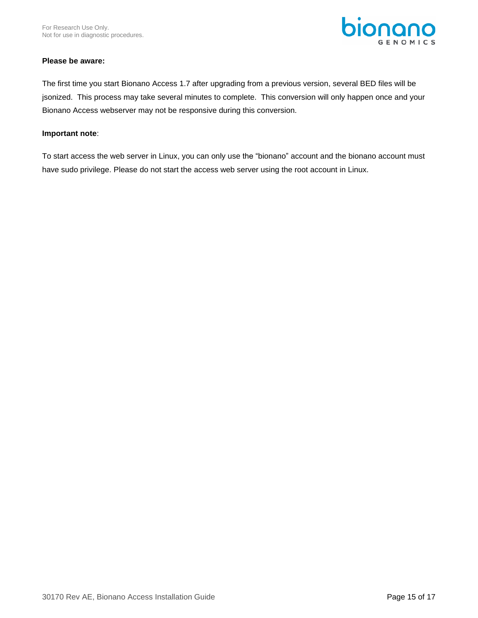

## **Please be aware:**

The first time you start Bionano Access 1.7 after upgrading from a previous version, several BED files will be jsonized. This process may take several minutes to complete. This conversion will only happen once and your Bionano Access webserver may not be responsive during this conversion.

## **Important note**:

To start access the web server in Linux, you can only use the "bionano" account and the bionano account must have sudo privilege. Please do not start the access web server using the root account in Linux.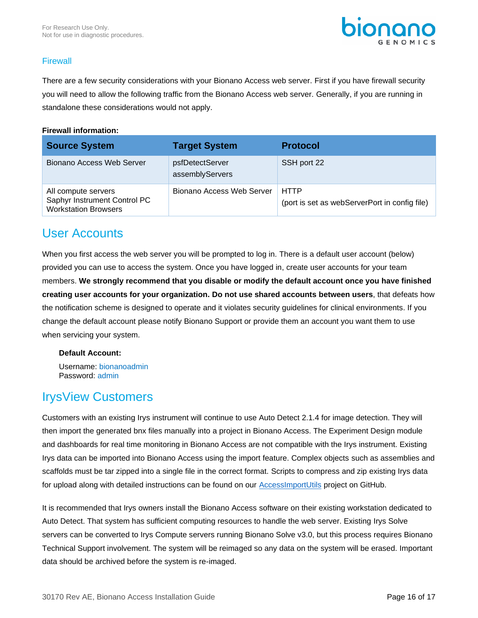

## **Firewall**

There are a few security considerations with your Bionano Access web server. First if you have firewall security you will need to allow the following traffic from the Bionano Access web server. Generally, if you are running in standalone these considerations would not apply.

## **Firewall information:**

| <b>Source System</b>                                                               | <b>Target System</b>               | <b>Protocol</b>                                              |
|------------------------------------------------------------------------------------|------------------------------------|--------------------------------------------------------------|
| <b>Bionano Access Web Server</b>                                                   | psfDetectServer<br>assemblyServers | SSH port 22                                                  |
| All compute servers<br>Saphyr Instrument Control PC<br><b>Workstation Browsers</b> | Bionano Access Web Server          | <b>HTTP</b><br>(port is set as webServerPort in config file) |

## <span id="page-15-0"></span>User Accounts

When you first access the web server you will be prompted to log in. There is a default user account (below) provided you can use to access the system. Once you have logged in, create user accounts for your team members. **We strongly recommend that you disable or modify the default account once you have finished creating user accounts for your organization. Do not use shared accounts between users**, that defeats how the notification scheme is designed to operate and it violates security guidelines for clinical environments. If you change the default account please notify Bionano Support or provide them an account you want them to use when servicing your system.

## **Default Account:**

Username: bionanoadmin Password: admin

## <span id="page-15-1"></span>IrysView Customers

Customers with an existing Irys instrument will continue to use Auto Detect 2.1.4 for image detection. They will then import the generated bnx files manually into a project in Bionano Access. The Experiment Design module and dashboards for real time monitoring in Bionano Access are not compatible with the Irys instrument. Existing Irys data can be imported into Bionano Access using the import feature. Complex objects such as assemblies and scaffolds must be tar zipped into a single file in the correct format. Scripts to compress and zip existing Irys data for upload along with detailed instructions can be found on our **AccessImportUtils** project on GitHub.

It is recommended that Irys owners install the Bionano Access software on their existing workstation dedicated to Auto Detect. That system has sufficient computing resources to handle the web server. Existing Irys Solve servers can be converted to Irys Compute servers running Bionano Solve v3.0, but this process requires Bionano Technical Support involvement. The system will be reimaged so any data on the system will be erased. Important data should be archived before the system is re-imaged.